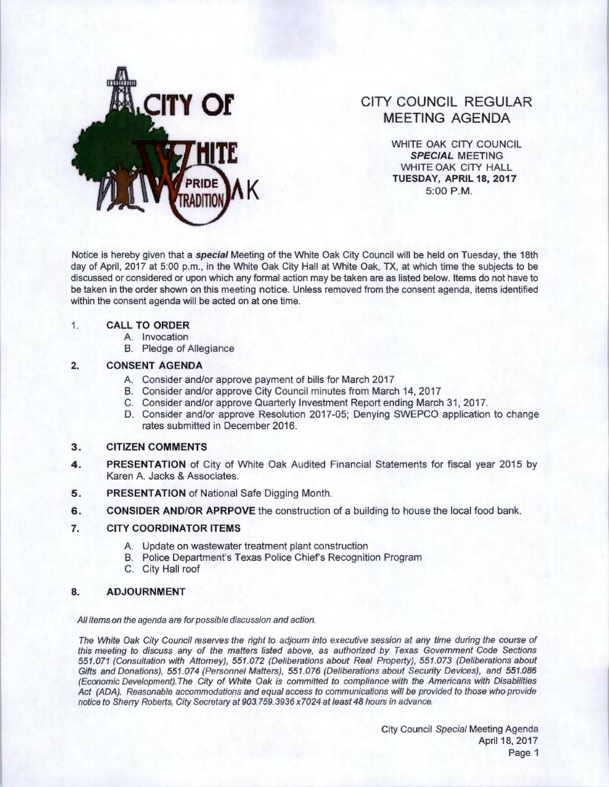

# **CITY COUNCIL REGULAR MEETING AGENDA**

WHITE OAK CITY COUNCIL **SPECIAL** MEETING WHITE OAK CITY HALL **TUESDAY, APRIL 18, 2017**<br>5:00 P.M.

Notice is hereby given that a **special** Meeting of the White Oak City Council will be held on Tuesday, the 18th day of April, 2017 at 5:00 p.m., in the White Oak City Hall at White Oak, TX, at which time the subjects to be discussed or considered or upon which any formal action may be taken are as listed below. Items do not have to be taken in the order shown on this meeting notice. Unless removed from the consent agenda, items identified within the consent agenda will be acted on at one time.

## 1. **CALL TO ORDER**

- A. Invocation
- B. Pledge of Allegiance

## **2. CONSENT AGENDA**

- A. Consider and/or approve payment of bills for March 2017
- B. Consider and/or approve City Council minutes from March 14, 2017
- C. Consider and/or approve Quarterly Investment Report ending March 31, 2017.
- D. Consider and/or approve Resolution 2017 -05; Denying SWEPCO application to change rates submitted in December 2016.

## **3. CITIZEN COMMENTS**

- **4. PRESENTATION** of City of White Oak Audited Financial Statements for fiscal year 2015 by Karen A. Jacks & Associates.
- **5.** PRESENTATION of National Safe Digging Month.
- **6. CONSIDER AND/OR APRPOVE** the construction of a building to house the local food bank.

## **7. CITY COORDINATOR ITEMS**

- A. Update on wastewater treatment plant construction
- B. Police Department's Texas Police Chief's Recognition Program
- C. City Hall roof

## **8. ADJOURNMENT**

All items on the agenda are for possible discussion and action.

The White Oak City Council reserves the right to adjourn into executive session at any time during the course of this meeting to discuss any of the matters listed above, as authorized by Texas Government Code Sections 551 .071 (Consultation with Attorney), 551 .072 (Deliberations about Real Property), 551 .073 (Deliberations about Gifts and Donations), 551.074 (Personnel Matters), 551.076 (Deliberations about Security Devices), and 551.086 (Economic Development). The City of White Oak is committed to compliance with the Americans with Disabilities Act (ADA). Reasonable accommodations and equal access to communications will be provided to those who provide notice to Sherry Roberts, City Secretary at 903.759.3936 x7024 at least 48 hours in advance.